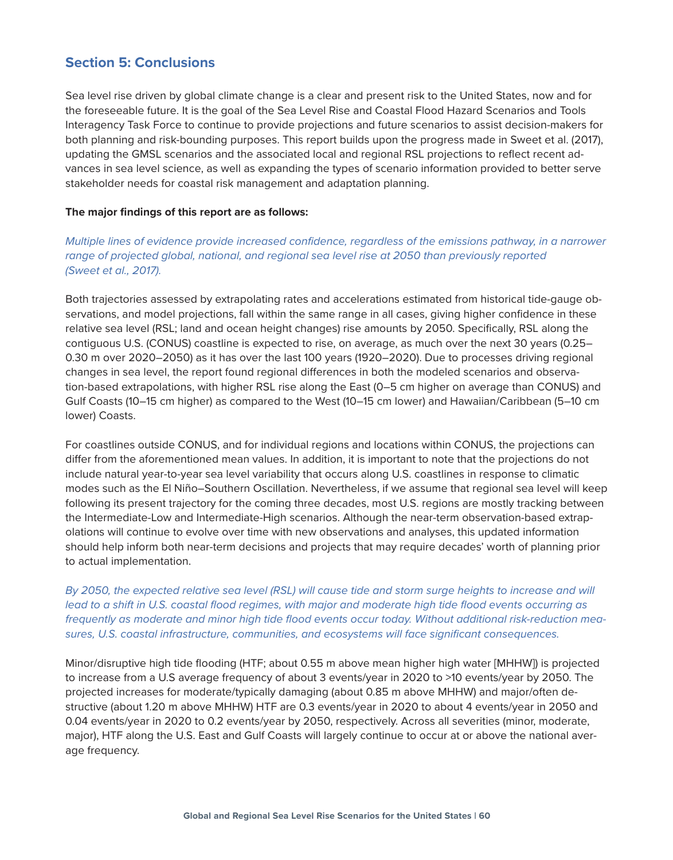## **Section 5: Conclusions**

Sea level rise driven by global climate change is a clear and present risk to the United States, now and for the foreseeable future. It is the goal of the Sea Level Rise and Coastal Flood Hazard Scenarios and Tools Interagency Task Force to continue to provide projections and future scenarios to assist decision-makers for both planning and risk-bounding purposes. This report builds upon the progress made in Sweet et al. (2017), updating the GMSL scenarios and the associated local and regional RSL projections to reflect recent advances in sea level science, as well as expanding the types of scenario information provided to better serve stakeholder needs for coastal risk management and adaptation planning.

## **The major findings of this report are as follows:**

*Multiple lines of evidence provide increased confidence, regardless of the emissions pathway, in a narrower range of projected global, national, and regional sea level rise at 2050 than previously reported (Sweet et al., 2017).*

Both trajectories assessed by extrapolating rates and accelerations estimated from historical tide-gauge observations, and model projections, fall within the same range in all cases, giving higher confidence in these relative sea level (RSL; land and ocean height changes) rise amounts by 2050. Specifically, RSL along the contiguous U.S. (CONUS) coastline is expected to rise, on average, as much over the next 30 years (0.25– 0.30 m over 2020–2050) as it has over the last 100 years (1920–2020). Due to processes driving regional changes in sea level, the report found regional differences in both the modeled scenarios and observation-based extrapolations, with higher RSL rise along the East (0–5 cm higher on average than CONUS) and Gulf Coasts (10–15 cm higher) as compared to the West (10–15 cm lower) and Hawaiian/Caribbean (5–10 cm lower) Coasts.

For coastlines outside CONUS, and for individual regions and locations within CONUS, the projections can differ from the aforementioned mean values. In addition, it is important to note that the projections do not include natural year-to-year sea level variability that occurs along U.S. coastlines in response to climatic modes such as the El Niño–Southern Oscillation. Nevertheless, if we assume that regional sea level will keep following its present trajectory for the coming three decades, most U.S. regions are mostly tracking between the Intermediate-Low and Intermediate-High scenarios. Although the near-term observation-based extrapolations will continue to evolve over time with new observations and analyses, this updated information should help inform both near-term decisions and projects that may require decades' worth of planning prior to actual implementation.

*By 2050, the expected relative sea level (RSL) will cause tide and storm surge heights to increase and will lead to a shift in U.S. coastal flood regimes, with major and moderate high tide flood events occurring as frequently as moderate and minor high tide flood events occur today. Without additional risk-reduction measures, U.S. coastal infrastructure, communities, and ecosystems will face significant consequences.*

Minor/disruptive high tide flooding (HTF; about 0.55 m above mean higher high water [MHHW]) is projected to increase from a U.S average frequency of about 3 events/year in 2020 to >10 events/year by 2050. The projected increases for moderate/typically damaging (about 0.85 m above MHHW) and major/often destructive (about 1.20 m above MHHW) HTF are 0.3 events/year in 2020 to about 4 events/year in 2050 and 0.04 events/year in 2020 to 0.2 events/year by 2050, respectively. Across all severities (minor, moderate, major), HTF along the U.S. East and Gulf Coasts will largely continue to occur at or above the national average frequency.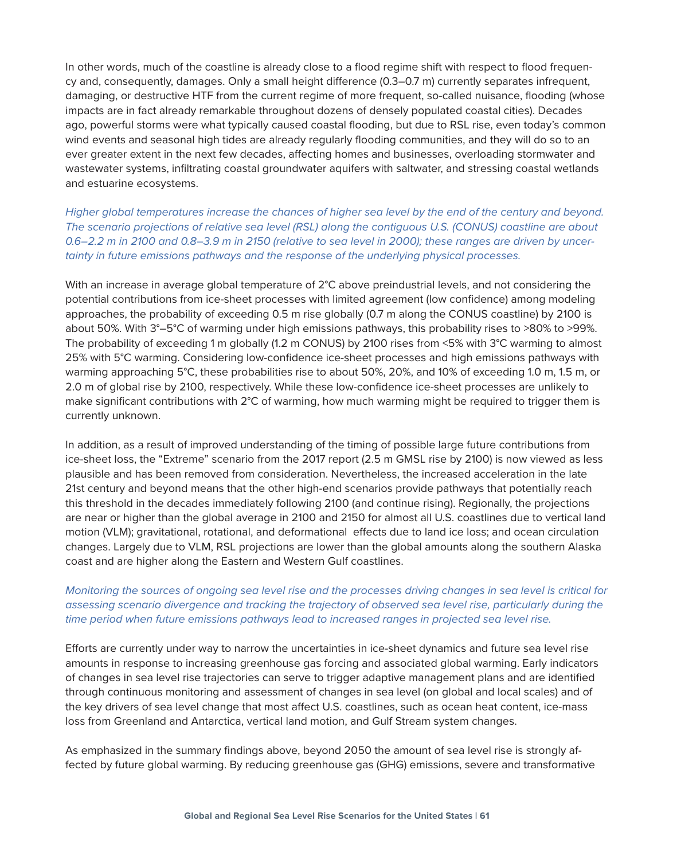In other words, much of the coastline is already close to a flood regime shift with respect to flood frequency and, consequently, damages. Only a small height difference (0.3–0.7 m) currently separates infrequent, damaging, or destructive HTF from the current regime of more frequent, so-called nuisance, flooding (whose impacts are in fact already remarkable throughout dozens of densely populated coastal cities). Decades ago, powerful storms were what typically caused coastal flooding, but due to RSL rise, even today's common wind events and seasonal high tides are already regularly flooding communities, and they will do so to an ever greater extent in the next few decades, affecting homes and businesses, overloading stormwater and wastewater systems, infiltrating coastal groundwater aquifers with saltwater, and stressing coastal wetlands and estuarine ecosystems.

*Higher global temperatures increase the chances of higher sea level by the end of the century and beyond. The scenario projections of relative sea level (RSL) along the contiguous U.S. (CONUS) coastline are about 0.6–2.2 m in 2100 and 0.8–3.9 m in 2150 (relative to sea level in 2000); these ranges are driven by uncertainty in future emissions pathways and the response of the underlying physical processes.*

With an increase in average global temperature of 2°C above preindustrial levels, and not considering the potential contributions from ice-sheet processes with limited agreement (low confidence) among modeling approaches, the probability of exceeding 0.5 m rise globally (0.7 m along the CONUS coastline) by 2100 is about 50%. With 3°–5°C of warming under high emissions pathways, this probability rises to >80% to >99%. The probability of exceeding 1 m globally (1.2 m CONUS) by 2100 rises from <5% with 3°C warming to almost 25% with 5°C warming. Considering low-confidence ice-sheet processes and high emissions pathways with warming approaching 5°C, these probabilities rise to about 50%, 20%, and 10% of exceeding 1.0 m, 1.5 m, or 2.0 m of global rise by 2100, respectively. While these low-confidence ice-sheet processes are unlikely to make significant contributions with 2°C of warming, how much warming might be required to trigger them is currently unknown.

In addition, as a result of improved understanding of the timing of possible large future contributions from ice-sheet loss, the "Extreme" scenario from the 2017 report (2.5 m GMSL rise by 2100) is now viewed as less plausible and has been removed from consideration. Nevertheless, the increased acceleration in the late 21st century and beyond means that the other high-end scenarios provide pathways that potentially reach this threshold in the decades immediately following 2100 (and continue rising). Regionally, the projections are near or higher than the global average in 2100 and 2150 for almost all U.S. coastlines due to vertical land motion (VLM); gravitational, rotational, and deformational effects due to land ice loss; and ocean circulation changes. Largely due to VLM, RSL projections are lower than the global amounts along the southern Alaska coast and are higher along the Eastern and Western Gulf coastlines.

## *Monitoring the sources of ongoing sea level rise and the processes driving changes in sea level is critical for assessing scenario divergence and tracking the trajectory of observed sea level rise, particularly during the time period when future emissions pathways lead to increased ranges in projected sea level rise.*

Efforts are currently under way to narrow the uncertainties in ice-sheet dynamics and future sea level rise amounts in response to increasing greenhouse gas forcing and associated global warming. Early indicators of changes in sea level rise trajectories can serve to trigger adaptive management plans and are identified through continuous monitoring and assessment of changes in sea level (on global and local scales) and of the key drivers of sea level change that most affect U.S. coastlines, such as ocean heat content, ice-mass loss from Greenland and Antarctica, vertical land motion, and Gulf Stream system changes.

As emphasized in the summary findings above, beyond 2050 the amount of sea level rise is strongly affected by future global warming. By reducing greenhouse gas (GHG) emissions, severe and transformative